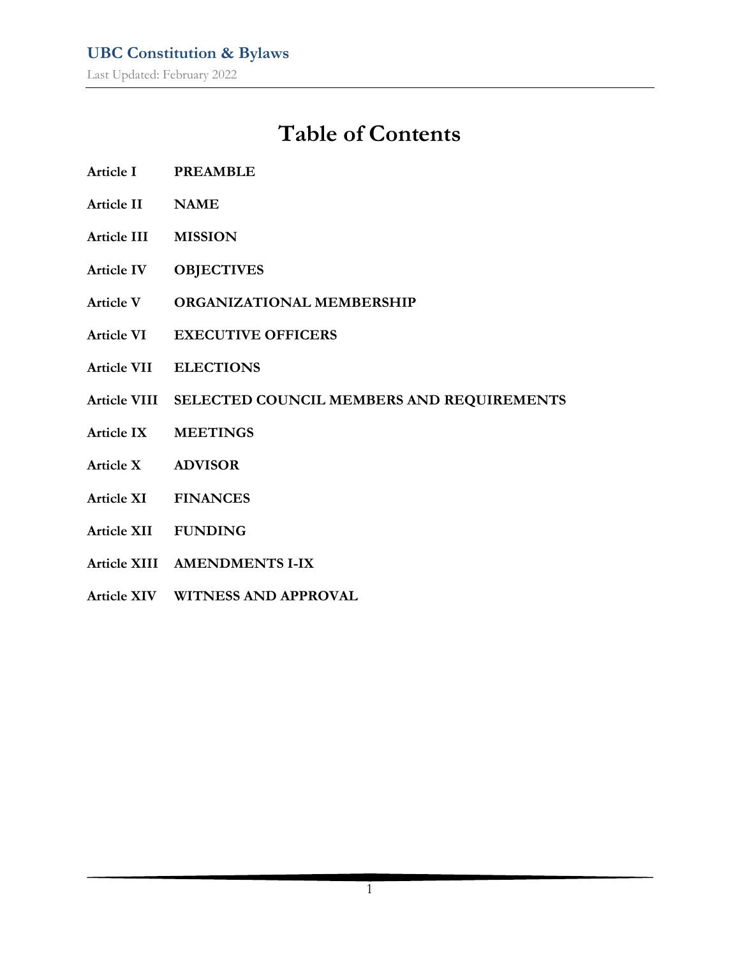# **Table of Contents**

- **Article I PREAMBLE**
- **Article II NAME**
- **Article III MISSION**
- **Article IV OBJECTIVES**
- **Article V ORGANIZATIONAL MEMBERSHIP**
- **Article VI EXECUTIVE OFFICERS**
- **Article VII ELECTIONS**
- **Article VIII SELECTED COUNCIL MEMBERS AND REQUIREMENTS**
- **Article IX MEETINGS**
- **Article X ADVISOR**
- **Article XI FINANCES**
- **Article XII FUNDING**
- **Article XIII AMENDMENTS I-IX**
- **Article XIV WITNESS AND APPROVAL**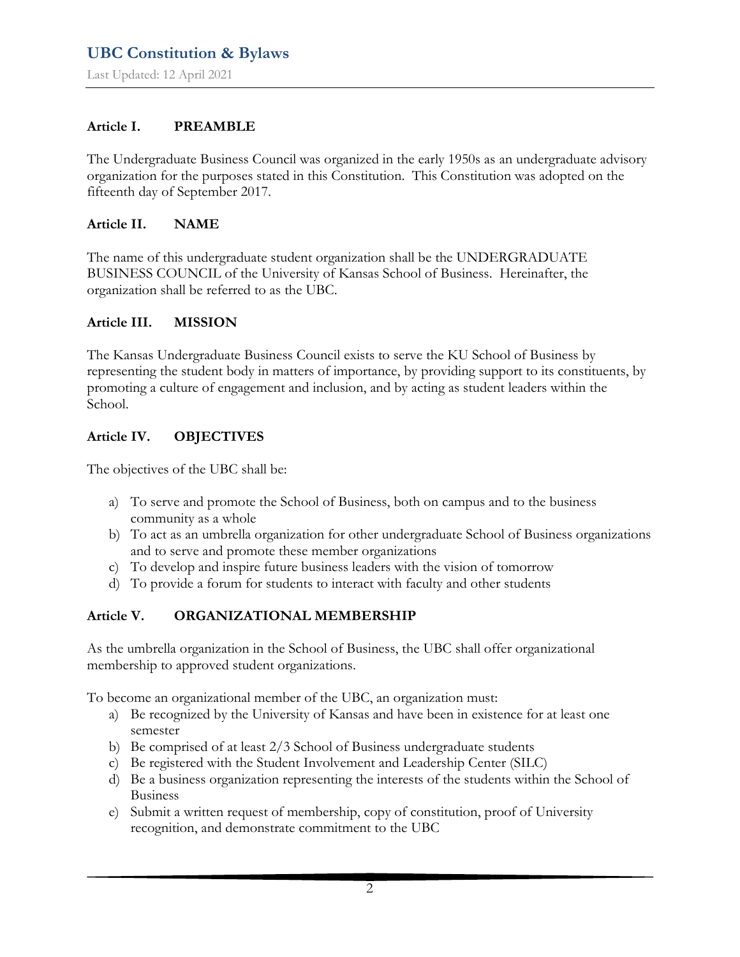Last Updated: 12 April 2021

#### **Article I. PREAMBLE**

The Undergraduate Business Council was organized in the early 1950s as an undergraduate advisory organization for the purposes stated in this Constitution. This Constitution was adopted on the fifteenth day of September 2017.

#### **Article II. NAME**

The name of this undergraduate student organization shall be the UNDERGRADUATE BUSINESS COUNCIL of the University of Kansas School of Business. Hereinafter, the organization shall be referred to as the UBC.

#### **Article III. MISSION**

The Kansas Undergraduate Business Council exists to serve the KU School of Business by representing the student body in matters of importance, by providing support to its constituents, by promoting a culture of engagement and inclusion, and by acting as student leaders within the School.

#### **Article IV. OBJECTIVES**

The objectives of the UBC shall be:

- a) To serve and promote the School of Business, both on campus and to the business community as a whole
- b) To act as an umbrella organization for other undergraduate School of Business organizations and to serve and promote these member organizations
- c) To develop and inspire future business leaders with the vision of tomorrow
- d) To provide a forum for students to interact with faculty and other students

#### **Article V. ORGANIZATIONAL MEMBERSHIP**

As the umbrella organization in the School of Business, the UBC shall offer organizational membership to approved student organizations.

To become an organizational member of the UBC, an organization must:

- a) Be recognized by the University of Kansas and have been in existence for at least one semester
- b) Be comprised of at least 2/3 School of Business undergraduate students
- c) Be registered with the Student Involvement and Leadership Center (SILC)
- d) Be a business organization representing the interests of the students within the School of Business
- e) Submit a written request of membership, copy of constitution, proof of University recognition, and demonstrate commitment to the UBC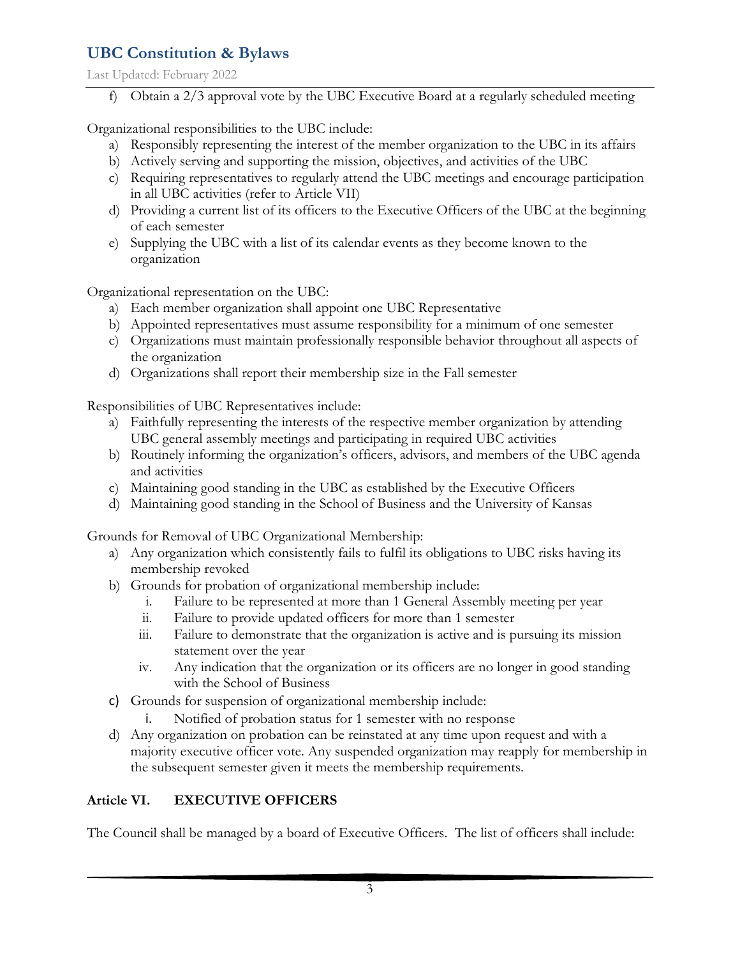Last Updated: February 2022

f) Obtain a 2/3 approval vote by the UBC Executive Board at a regularly scheduled meeting

Organizational responsibilities to the UBC include:

- a) Responsibly representing the interest of the member organization to the UBC in its affairs
- b) Actively serving and supporting the mission, objectives, and activities of the UBC
- c) Requiring representatives to regularly attend the UBC meetings and encourage participation in all UBC activities (refer to Article VII)
- d) Providing a current list of its officers to the Executive Officers of the UBC at the beginning of each semester
- e) Supplying the UBC with a list of its calendar events as they become known to the organization

Organizational representation on the UBC:

- a) Each member organization shall appoint one UBC Representative
- b) Appointed representatives must assume responsibility for a minimum of one semester
- c) Organizations must maintain professionally responsible behavior throughout all aspects of the organization
- d) Organizations shall report their membership size in the Fall semester

Responsibilities of UBC Representatives include:

- a) Faithfully representing the interests of the respective member organization by attending UBC general assembly meetings and participating in required UBC activities
- b) Routinely informing the organization's officers, advisors, and members of the UBC agenda and activities
- c) Maintaining good standing in the UBC as established by the Executive Officers
- d) Maintaining good standing in the School of Business and the University of Kansas

Grounds for Removal of UBC Organizational Membership:

- a) Any organization which consistently fails to fulfil its obligations to UBC risks having its membership revoked
- b) Grounds for probation of organizational membership include:
	- i. Failure to be represented at more than 1 General Assembly meeting per year
	- ii. Failure to provide updated officers for more than 1 semester
	- iii. Failure to demonstrate that the organization is active and is pursuing its mission statement over the year
	- iv. Any indication that the organization or its officers are no longer in good standing with the School of Business
- c) Grounds for suspension of organizational membership include:
	- i. Notified of probation status for 1 semester with no response
- d) Any organization on probation can be reinstated at any time upon request and with a majority executive officer vote. Any suspended organization may reapply for membership in the subsequent semester given it meets the membership requirements.

# **Article VI. EXECUTIVE OFFICERS**

The Council shall be managed by a board of Executive Officers. The list of officers shall include: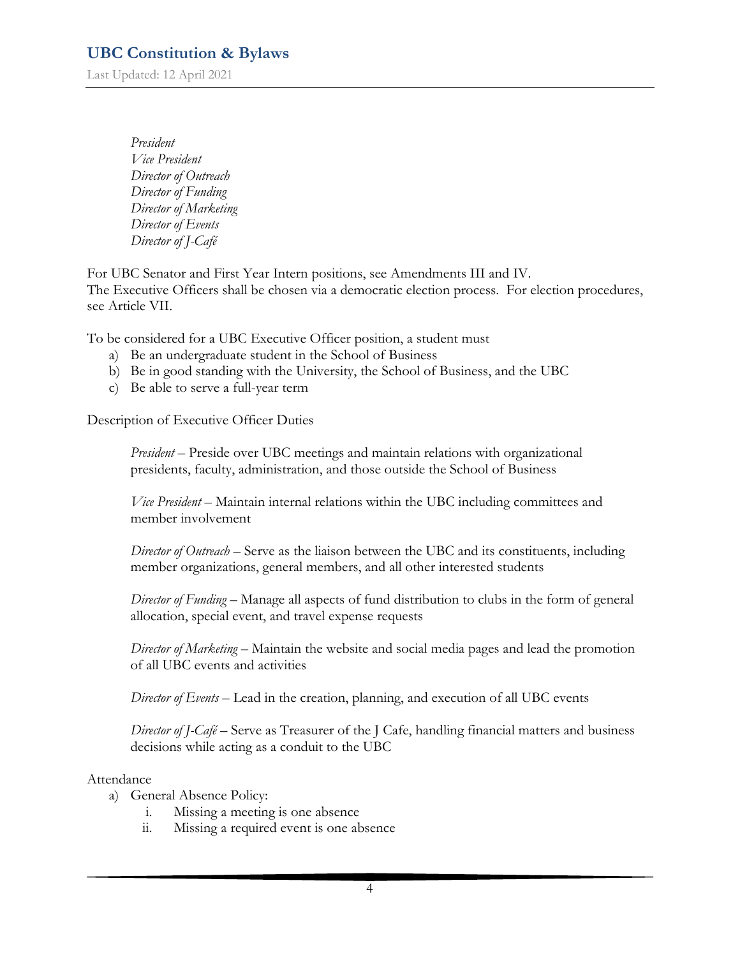Last Updated: 12 April 2021

*President Vice President Director of Outreach Director of Funding Director of Marketing Director of Events Director of J-Café*

For UBC Senator and First Year Intern positions, see Amendments III and IV. The Executive Officers shall be chosen via a democratic election process. For election procedures, see Article VII.

To be considered for a UBC Executive Officer position, a student must

- a) Be an undergraduate student in the School of Business
- b) Be in good standing with the University, the School of Business, and the UBC
- c) Be able to serve a full-year term

Description of Executive Officer Duties

*President* – Preside over UBC meetings and maintain relations with organizational presidents, faculty, administration, and those outside the School of Business

*Vice President* – Maintain internal relations within the UBC including committees and member involvement

*Director of Outreach* – Serve as the liaison between the UBC and its constituents, including member organizations, general members, and all other interested students

*Director of Funding* – Manage all aspects of fund distribution to clubs in the form of general allocation, special event, and travel expense requests

*Director of Marketing* – Maintain the website and social media pages and lead the promotion of all UBC events and activities

*Director of Events* – Lead in the creation, planning, and execution of all UBC events

*Director of J-Café* – Serve as Treasurer of the J Cafe, handling financial matters and business decisions while acting as a conduit to the UBC

#### Attendance

- a) General Absence Policy:
	- i. Missing a meeting is one absence
	- ii. Missing a required event is one absence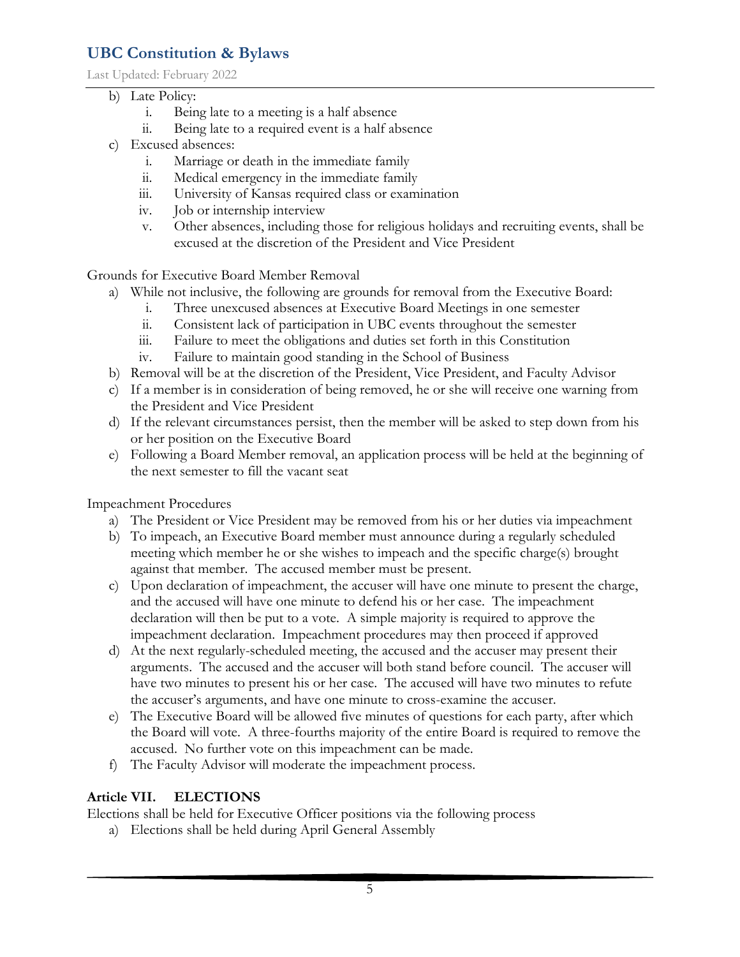Last Updated: February 2022

- b) Late Policy:
	- i. Being late to a meeting is a half absence
	- ii. Being late to a required event is a half absence
- c) Excused absences:
	- i. Marriage or death in the immediate family
	- ii. Medical emergency in the immediate family
	- iii. University of Kansas required class or examination
	- iv. Job or internship interview
	- v. Other absences, including those for religious holidays and recruiting events, shall be excused at the discretion of the President and Vice President

Grounds for Executive Board Member Removal

- a) While not inclusive, the following are grounds for removal from the Executive Board:
	- i. Three unexcused absences at Executive Board Meetings in one semester
	- ii. Consistent lack of participation in UBC events throughout the semester
	- iii. Failure to meet the obligations and duties set forth in this Constitution
	- iv. Failure to maintain good standing in the School of Business
- b) Removal will be at the discretion of the President, Vice President, and Faculty Advisor
- c) If a member is in consideration of being removed, he or she will receive one warning from the President and Vice President
- d) If the relevant circumstances persist, then the member will be asked to step down from his or her position on the Executive Board
- e) Following a Board Member removal, an application process will be held at the beginning of the next semester to fill the vacant seat

Impeachment Procedures

- a) The President or Vice President may be removed from his or her duties via impeachment
- b) To impeach, an Executive Board member must announce during a regularly scheduled meeting which member he or she wishes to impeach and the specific charge(s) brought against that member. The accused member must be present.
- c) Upon declaration of impeachment, the accuser will have one minute to present the charge, and the accused will have one minute to defend his or her case. The impeachment declaration will then be put to a vote. A simple majority is required to approve the impeachment declaration. Impeachment procedures may then proceed if approved
- d) At the next regularly-scheduled meeting, the accused and the accuser may present their arguments. The accused and the accuser will both stand before council. The accuser will have two minutes to present his or her case. The accused will have two minutes to refute the accuser's arguments, and have one minute to cross-examine the accuser.
- e) The Executive Board will be allowed five minutes of questions for each party, after which the Board will vote. A three-fourths majority of the entire Board is required to remove the accused. No further vote on this impeachment can be made.
- f) The Faculty Advisor will moderate the impeachment process.

### **Article VII. ELECTIONS**

Elections shall be held for Executive Officer positions via the following process

a) Elections shall be held during April General Assembly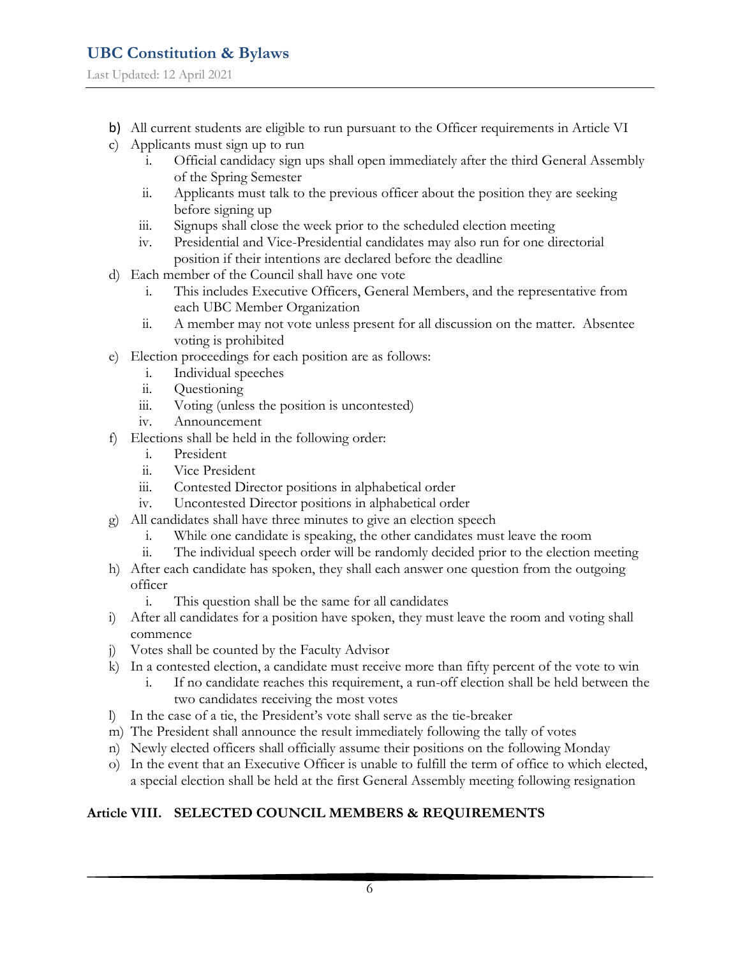- b) All current students are eligible to run pursuant to the Officer requirements in Article VI
- c) Applicants must sign up to run
	- i. Official candidacy sign ups shall open immediately after the third General Assembly of the Spring Semester
	- ii. Applicants must talk to the previous officer about the position they are seeking before signing up
	- iii. Signups shall close the week prior to the scheduled election meeting
	- iv. Presidential and Vice-Presidential candidates may also run for one directorial position if their intentions are declared before the deadline
- d) Each member of the Council shall have one vote
	- i. This includes Executive Officers, General Members, and the representative from each UBC Member Organization
	- ii. A member may not vote unless present for all discussion on the matter. Absentee voting is prohibited
- e) Election proceedings for each position are as follows:
	- i. Individual speeches
	- ii. Questioning
	- iii. Voting (unless the position is uncontested)
	- iv. Announcement
- f) Elections shall be held in the following order:
	- i. President
	- ii. Vice President
	- iii. Contested Director positions in alphabetical order
	- iv. Uncontested Director positions in alphabetical order
- g) All candidates shall have three minutes to give an election speech
	- i. While one candidate is speaking, the other candidates must leave the room
	- ii. The individual speech order will be randomly decided prior to the election meeting
- h) After each candidate has spoken, they shall each answer one question from the outgoing officer
	- i. This question shall be the same for all candidates
- i) After all candidates for a position have spoken, they must leave the room and voting shall commence
- j) Votes shall be counted by the Faculty Advisor
- k) In a contested election, a candidate must receive more than fifty percent of the vote to win
	- i. If no candidate reaches this requirement, a run-off election shall be held between the two candidates receiving the most votes
- l) In the case of a tie, the President's vote shall serve as the tie-breaker
- m) The President shall announce the result immediately following the tally of votes
- n) Newly elected officers shall officially assume their positions on the following Monday
- o) In the event that an Executive Officer is unable to fulfill the term of office to which elected, a special election shall be held at the first General Assembly meeting following resignation

### **Article VIII. SELECTED COUNCIL MEMBERS & REQUIREMENTS**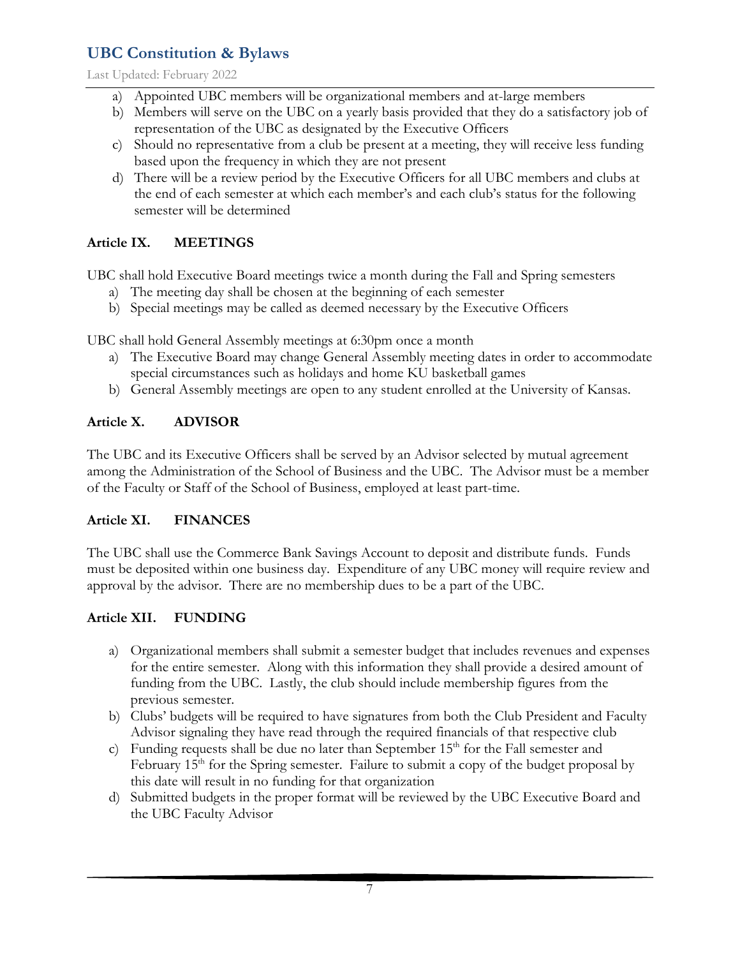Last Updated: February 2022

- a) Appointed UBC members will be organizational members and at-large members
- b) Members will serve on the UBC on a yearly basis provided that they do a satisfactory job of representation of the UBC as designated by the Executive Officers
- c) Should no representative from a club be present at a meeting, they will receive less funding based upon the frequency in which they are not present
- d) There will be a review period by the Executive Officers for all UBC members and clubs at the end of each semester at which each member's and each club's status for the following semester will be determined

### **Article IX. MEETINGS**

UBC shall hold Executive Board meetings twice a month during the Fall and Spring semesters

- a) The meeting day shall be chosen at the beginning of each semester
- b) Special meetings may be called as deemed necessary by the Executive Officers

UBC shall hold General Assembly meetings at 6:30pm once a month

- a) The Executive Board may change General Assembly meeting dates in order to accommodate special circumstances such as holidays and home KU basketball games
- b) General Assembly meetings are open to any student enrolled at the University of Kansas.

### **Article X. ADVISOR**

The UBC and its Executive Officers shall be served by an Advisor selected by mutual agreement among the Administration of the School of Business and the UBC. The Advisor must be a member of the Faculty or Staff of the School of Business, employed at least part-time.

### **Article XI. FINANCES**

The UBC shall use the Commerce Bank Savings Account to deposit and distribute funds. Funds must be deposited within one business day. Expenditure of any UBC money will require review and approval by the advisor. There are no membership dues to be a part of the UBC.

### **Article XII. FUNDING**

- a) Organizational members shall submit a semester budget that includes revenues and expenses for the entire semester. Along with this information they shall provide a desired amount of funding from the UBC. Lastly, the club should include membership figures from the previous semester.
- b) Clubs' budgets will be required to have signatures from both the Club President and Faculty Advisor signaling they have read through the required financials of that respective club
- c) Funding requests shall be due no later than September  $15<sup>th</sup>$  for the Fall semester and February  $15<sup>th</sup>$  for the Spring semester. Failure to submit a copy of the budget proposal by this date will result in no funding for that organization
- d) Submitted budgets in the proper format will be reviewed by the UBC Executive Board and the UBC Faculty Advisor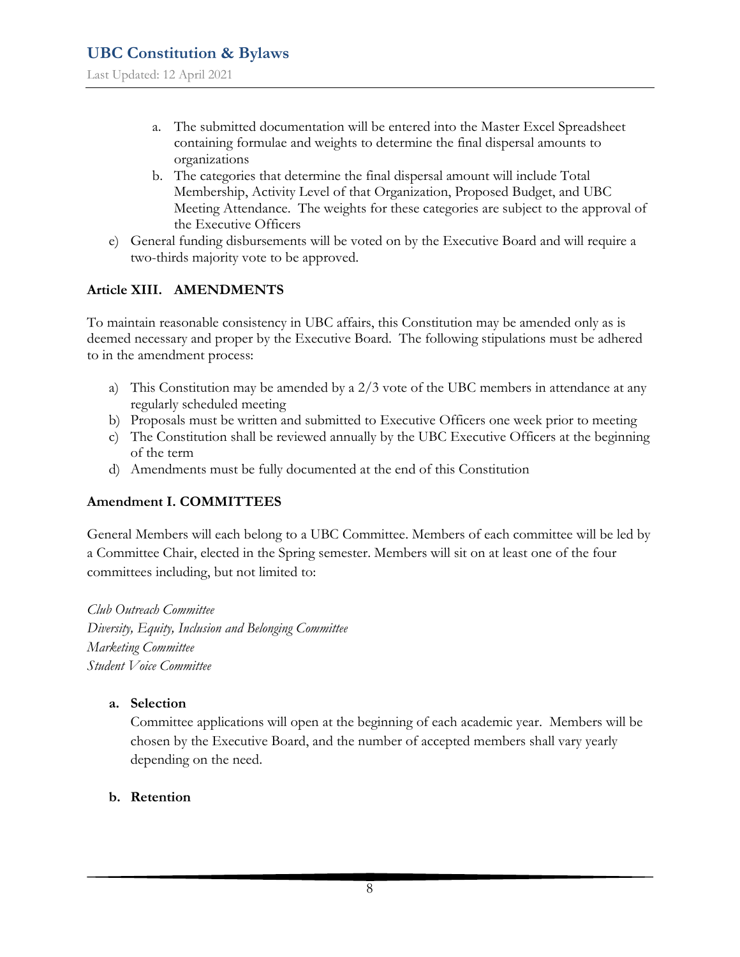- a. The submitted documentation will be entered into the Master Excel Spreadsheet containing formulae and weights to determine the final dispersal amounts to organizations
- b. The categories that determine the final dispersal amount will include Total Membership, Activity Level of that Organization, Proposed Budget, and UBC Meeting Attendance. The weights for these categories are subject to the approval of the Executive Officers
- e) General funding disbursements will be voted on by the Executive Board and will require a two-thirds majority vote to be approved.

#### **Article XIII. AMENDMENTS**

To maintain reasonable consistency in UBC affairs, this Constitution may be amended only as is deemed necessary and proper by the Executive Board. The following stipulations must be adhered to in the amendment process:

- a) This Constitution may be amended by a 2/3 vote of the UBC members in attendance at any regularly scheduled meeting
- b) Proposals must be written and submitted to Executive Officers one week prior to meeting
- c) The Constitution shall be reviewed annually by the UBC Executive Officers at the beginning of the term
- d) Amendments must be fully documented at the end of this Constitution

#### **Amendment I. COMMITTEES**

General Members will each belong to a UBC Committee. Members of each committee will be led by a Committee Chair, elected in the Spring semester. Members will sit on at least one of the four committees including, but not limited to:

*Club Outreach Committee Diversity, Equity, Inclusion and Belonging Committee Marketing Committee Student Voice Committee* 

#### **a. Selection**

Committee applications will open at the beginning of each academic year. Members will be chosen by the Executive Board, and the number of accepted members shall vary yearly depending on the need.

#### **b. Retention**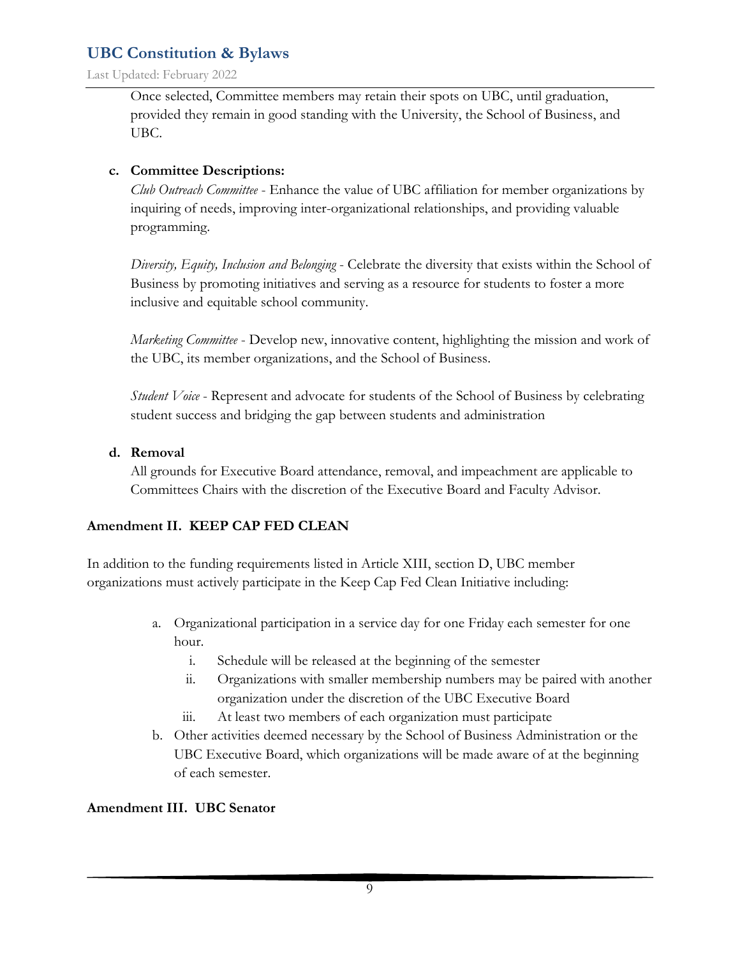Last Updated: February 2022

Once selected, Committee members may retain their spots on UBC, until graduation, provided they remain in good standing with the University, the School of Business, and UBC.

#### **c. Committee Descriptions:**

*Club Outreach Committee* - Enhance the value of UBC affiliation for member organizations by inquiring of needs, improving inter-organizational relationships, and providing valuable programming.

*Diversity, Equity, Inclusion and Belonging* - Celebrate the diversity that exists within the School of Business by promoting initiatives and serving as a resource for students to foster a more inclusive and equitable school community.

*Marketing Committee* - Develop new, innovative content, highlighting the mission and work of the UBC, its member organizations, and the School of Business.

*Student Voice* - Represent and advocate for students of the School of Business by celebrating student success and bridging the gap between students and administration

#### **d. Removal**

All grounds for Executive Board attendance, removal, and impeachment are applicable to Committees Chairs with the discretion of the Executive Board and Faculty Advisor.

#### **Amendment II. KEEP CAP FED CLEAN**

In addition to the funding requirements listed in Article XIII, section D, UBC member organizations must actively participate in the Keep Cap Fed Clean Initiative including:

- a. Organizational participation in a service day for one Friday each semester for one hour.
	- i. Schedule will be released at the beginning of the semester
	- ii. Organizations with smaller membership numbers may be paired with another organization under the discretion of the UBC Executive Board
	- iii. At least two members of each organization must participate
- b. Other activities deemed necessary by the School of Business Administration or the UBC Executive Board, which organizations will be made aware of at the beginning of each semester.

#### **Amendment III. UBC Senator**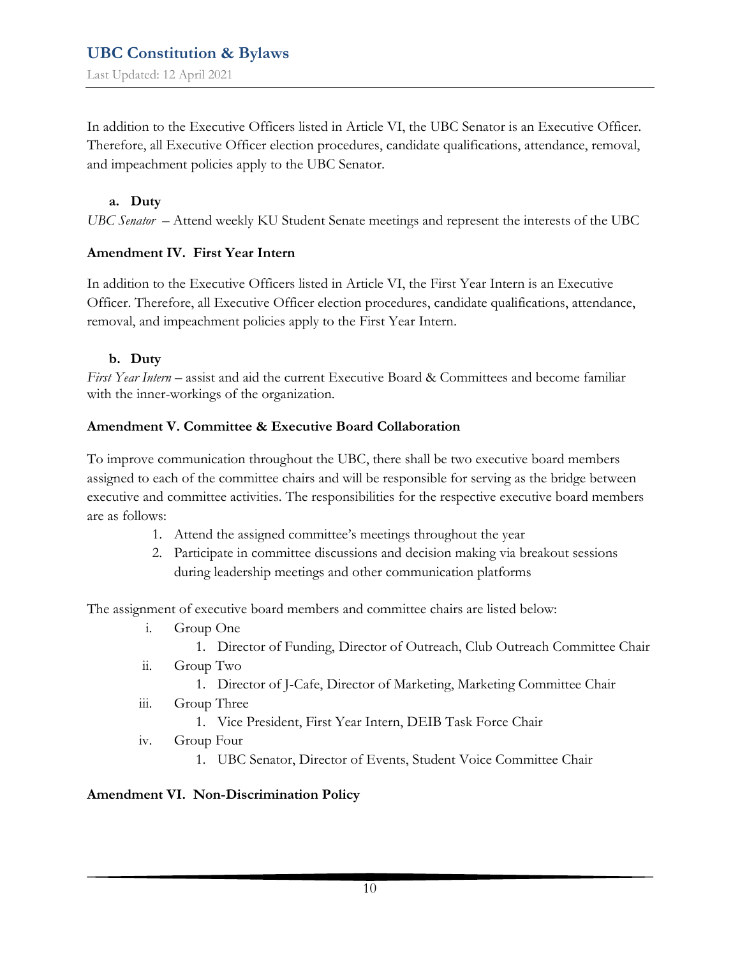In addition to the Executive Officers listed in Article VI, the UBC Senator is an Executive Officer. Therefore, all Executive Officer election procedures, candidate qualifications, attendance, removal, and impeachment policies apply to the UBC Senator.

#### **a. Duty**

*UBC Senator* – Attend weekly KU Student Senate meetings and represent the interests of the UBC

#### **Amendment IV. First Year Intern**

In addition to the Executive Officers listed in Article VI, the First Year Intern is an Executive Officer. Therefore, all Executive Officer election procedures, candidate qualifications, attendance, removal, and impeachment policies apply to the First Year Intern.

#### **b. Duty**

*First Year Intern* – assist and aid the current Executive Board & Committees and become familiar with the inner-workings of the organization.

#### **Amendment V. Committee & Executive Board Collaboration**

To improve communication throughout the UBC, there shall be two executive board members assigned to each of the committee chairs and will be responsible for serving as the bridge between executive and committee activities. The responsibilities for the respective executive board members are as follows:

- 1. Attend the assigned committee's meetings throughout the year
- 2. Participate in committee discussions and decision making via breakout sessions during leadership meetings and other communication platforms

The assignment of executive board members and committee chairs are listed below:

- i. Group One
	- 1. Director of Funding, Director of Outreach, Club Outreach Committee Chair
- ii. Group Two
	- 1. Director of J-Cafe, Director of Marketing, Marketing Committee Chair
- iii. Group Three

1. Vice President, First Year Intern, DEIB Task Force Chair

- iv. Group Four
	- 1. UBC Senator, Director of Events, Student Voice Committee Chair

#### **Amendment VI. Non-Discrimination Policy**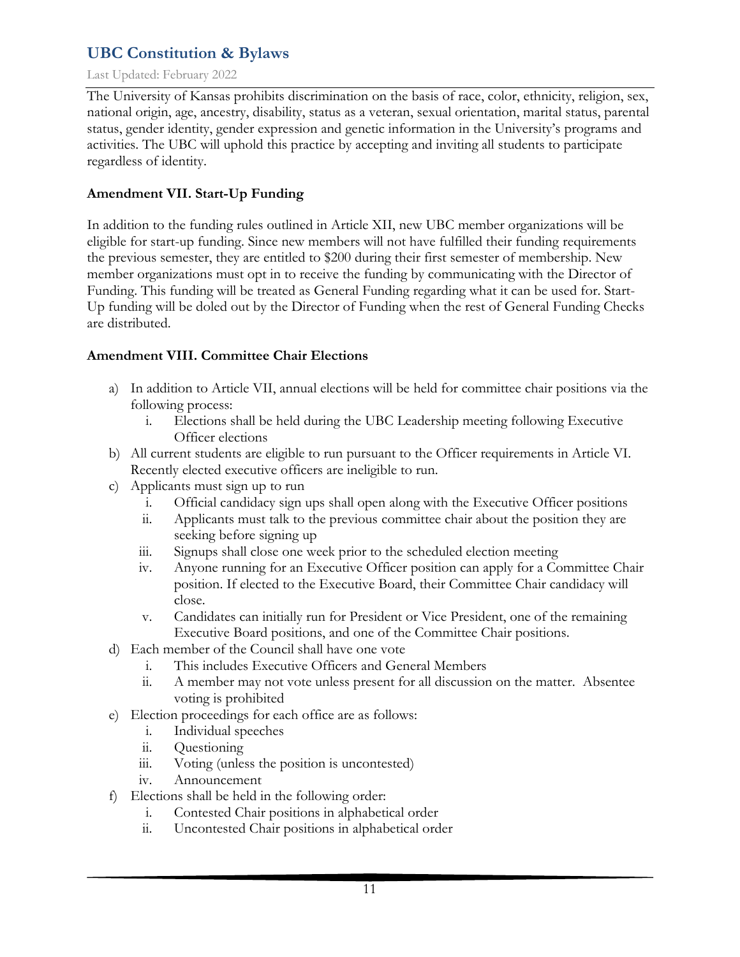#### Last Updated: February 2022

The University of Kansas prohibits discrimination on the basis of race, color, ethnicity, religion, sex, national origin, age, ancestry, disability, status as a veteran, sexual orientation, marital status, parental status, gender identity, gender expression and genetic information in the University's programs and activities. The UBC will uphold this practice by accepting and inviting all students to participate regardless of identity.

#### **Amendment VII. Start-Up Funding**

In addition to the funding rules outlined in Article XII, new UBC member organizations will be eligible for start-up funding. Since new members will not have fulfilled their funding requirements the previous semester, they are entitled to \$200 during their first semester of membership. New member organizations must opt in to receive the funding by communicating with the Director of Funding. This funding will be treated as General Funding regarding what it can be used for. Start-Up funding will be doled out by the Director of Funding when the rest of General Funding Checks are distributed.

### **Amendment VIII. Committee Chair Elections**

- a) In addition to Article VII, annual elections will be held for committee chair positions via the following process:
	- i. Elections shall be held during the UBC Leadership meeting following Executive Officer elections
- b) All current students are eligible to run pursuant to the Officer requirements in Article VI. Recently elected executive officers are ineligible to run.
- c) Applicants must sign up to run
	- i. Official candidacy sign ups shall open along with the Executive Officer positions
	- ii. Applicants must talk to the previous committee chair about the position they are seeking before signing up
	- iii. Signups shall close one week prior to the scheduled election meeting
	- iv. Anyone running for an Executive Officer position can apply for a Committee Chair position. If elected to the Executive Board, their Committee Chair candidacy will close.
	- v. Candidates can initially run for President or Vice President, one of the remaining Executive Board positions, and one of the Committee Chair positions.
- d) Each member of the Council shall have one vote
	- i. This includes Executive Officers and General Members
	- ii. A member may not vote unless present for all discussion on the matter. Absentee voting is prohibited
- e) Election proceedings for each office are as follows:
	- i. Individual speeches
	- ii. Questioning
	- iii. Voting (unless the position is uncontested)
	- iv. Announcement
- f) Elections shall be held in the following order:
	- i. Contested Chair positions in alphabetical order
	- ii. Uncontested Chair positions in alphabetical order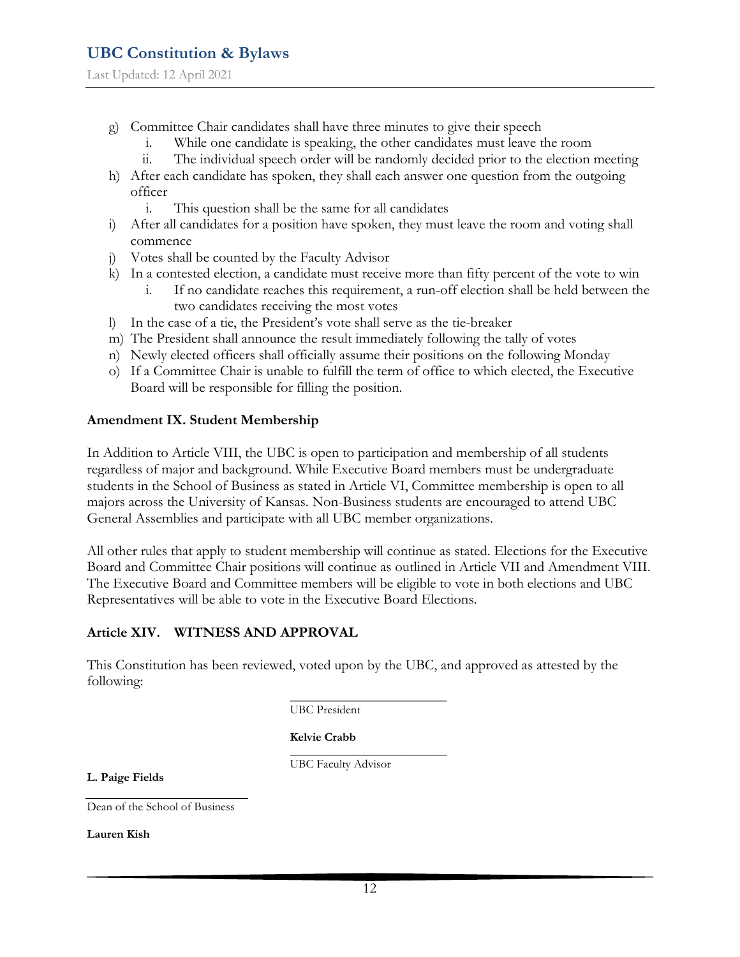Last Updated: 12 April 2021

- g) Committee Chair candidates shall have three minutes to give their speech
	- i. While one candidate is speaking, the other candidates must leave the room
	- ii. The individual speech order will be randomly decided prior to the election meeting
- h) After each candidate has spoken, they shall each answer one question from the outgoing officer
	- i. This question shall be the same for all candidates
- i) After all candidates for a position have spoken, they must leave the room and voting shall commence
- j) Votes shall be counted by the Faculty Advisor
- k) In a contested election, a candidate must receive more than fifty percent of the vote to win
	- i. If no candidate reaches this requirement, a run-off election shall be held between the two candidates receiving the most votes
- l) In the case of a tie, the President's vote shall serve as the tie-breaker
- m) The President shall announce the result immediately following the tally of votes
- n) Newly elected officers shall officially assume their positions on the following Monday
- o) If a Committee Chair is unable to fulfill the term of office to which elected, the Executive Board will be responsible for filling the position.

#### **Amendment IX. Student Membership**

In Addition to Article VIII, the UBC is open to participation and membership of all students regardless of major and background. While Executive Board members must be undergraduate students in the School of Business as stated in Article VI, Committee membership is open to all majors across the University of Kansas. Non-Business students are encouraged to attend UBC General Assemblies and participate with all UBC member organizations.

All other rules that apply to student membership will continue as stated. Elections for the Executive Board and Committee Chair positions will continue as outlined in Article VII and Amendment VIII. The Executive Board and Committee members will be eligible to vote in both elections and UBC Representatives will be able to vote in the Executive Board Elections.

#### **Article XIV. WITNESS AND APPROVAL**

This Constitution has been reviewed, voted upon by the UBC, and approved as attested by the following:

> \_\_\_\_\_\_\_\_\_\_\_\_\_\_\_\_\_\_\_\_\_\_\_\_\_\_ UBC President

**Kelvie Crabb**

\_\_\_\_\_\_\_\_\_\_\_\_\_\_\_\_\_\_\_\_\_\_\_\_\_\_ UBC Faculty Advisor

**L. Paige Fields**

Dean of the School of Business

**Lauren Kish**